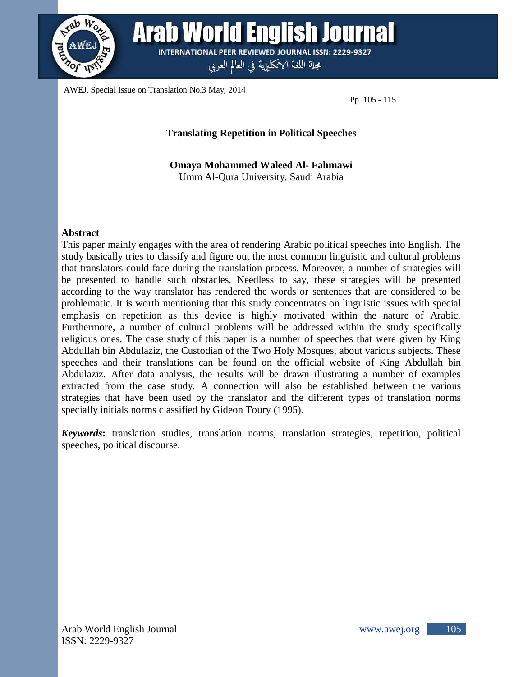

**Arab World English Journal INTERNATIONAL PEER REVIEWED JOURNAL ISSN: 2229-9327** 

مجلة اللغة الانكليزية في العالم العربي

AWEJ. Special Issue on Translation No.3 May, 2014

Pp. 105 - 115

#### **Translating Repetition in Political Speeches**

**Omaya Mohammed Waleed Al- Fahmawi** Umm Al-Qura University, Saudi Arabia

#### **Abstract**

This paper mainly engages with the area of rendering Arabic political speeches into English. The study basically tries to classify and figure out the most common linguistic and cultural problems that translators could face during the translation process. Moreover, a number of strategies will be presented to handle such obstacles. Needless to say, these strategies will be presented according to the way translator has rendered the words or sentences that are considered to be problematic. It is worth mentioning that this study concentrates on linguistic issues with special emphasis on repetition as this device is highly motivated within the nature of Arabic. Furthermore, a number of cultural problems will be addressed within the study specifically religious ones. The case study of this paper is a number of speeches that were given by King Abdullah bin Abdulaziz, the Custodian of the Two Holy Mosques, about various subjects. These speeches and their translations can be found on the official website of King Abdullah bin Abdulaziz. After data analysis, the results will be drawn illustrating a number of examples extracted from the case study. A connection will also be established between the various strategies that have been used by the translator and the different types of translation norms specially initials norms classified by Gideon Toury (1995).

*Keywords***:** translation studies, translation norms, translation strategies, repetition, political speeches, political discourse.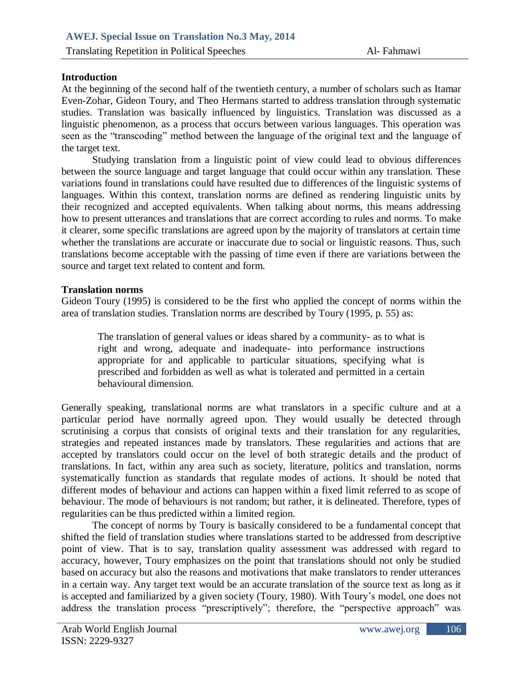# **Introduction**

At the beginning of the second half of the twentieth century, a number of scholars such as Itamar Even-Zohar, Gideon Toury, and Theo Hermans started to address translation through systematic studies. Translation was basically influenced by linguistics. Translation was discussed as a linguistic phenomenon, as a process that occurs between various languages. This operation was seen as the "transcoding" method between the language of the original text and the language of the target text.

Studying translation from a linguistic point of view could lead to obvious differences between the source language and target language that could occur within any translation. These variations found in translations could have resulted due to differences of the linguistic systems of languages. Within this context, translation norms are defined as rendering linguistic units by their recognized and accepted equivalents. When talking about norms, this means addressing how to present utterances and translations that are correct according to rules and norms. To make it clearer, some specific translations are agreed upon by the majority of translators at certain time whether the translations are accurate or inaccurate due to social or linguistic reasons. Thus, such translations become acceptable with the passing of time even if there are variations between the source and target text related to content and form.

## **Translation norms**

Gideon Toury (1995) is considered to be the first who applied the concept of norms within the area of translation studies. Translation norms are described by Toury (1995, p. 55) as:

The translation of general values or ideas shared by a community- as to what is right and wrong, adequate and inadequate- into performance instructions appropriate for and applicable to particular situations, specifying what is prescribed and forbidden as well as what is tolerated and permitted in a certain behavioural dimension*.*

Generally speaking, translational norms are what translators in a specific culture and at a particular period have normally agreed upon. They would usually be detected through scrutinising a corpus that consists of original texts and their translation for any regularities, strategies and repeated instances made by translators. These regularities and actions that are accepted by translators could occur on the level of both strategic details and the product of translations. In fact, within any area such as society, literature, politics and translation, norms systematically function as standards that regulate modes of actions. It should be noted that different modes of behaviour and actions can happen within a fixed limit referred to as scope of behaviour. The mode of behaviours is not random; but rather, it is delineated. Therefore, types of regularities can be thus predicted within a limited region.

The concept of norms by Toury is basically considered to be a fundamental concept that shifted the field of translation studies where translations started to be addressed from descriptive point of view. That is to say, translation quality assessment was addressed with regard to accuracy, however, Toury emphasizes on the point that translations should not only be studied based on accuracy but also the reasons and motivations that make translators to render utterances in a certain way. Any target text would be an accurate translation of the source text as long as it is accepted and familiarized by a given society (Toury, 1980). With Toury's model, one does not address the translation process "prescriptively"; therefore, the "perspective approach" was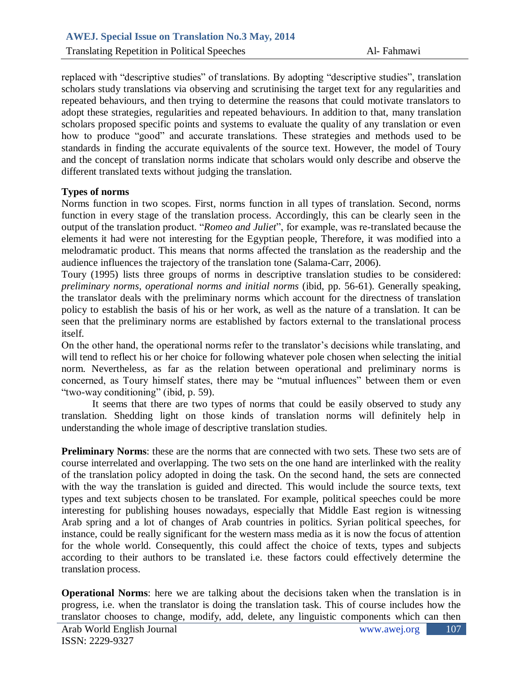Translating Repetition in Political Speeches Al- Fahmawi

replaced with "descriptive studies" of translations. By adopting "descriptive studies", translation scholars study translations via observing and scrutinising the target text for any regularities and repeated behaviours, and then trying to determine the reasons that could motivate translators to adopt these strategies, regularities and repeated behaviours. In addition to that, many translation scholars proposed specific points and systems to evaluate the quality of any translation or even how to produce "good" and accurate translations. These strategies and methods used to be standards in finding the accurate equivalents of the source text. However, the model of Toury and the concept of translation norms indicate that scholars would only describe and observe the different translated texts without judging the translation.

## **Types of norms**

Norms function in two scopes. First, norms function in all types of translation. Second, norms function in every stage of the translation process. Accordingly, this can be clearly seen in the output of the translation product. "*Romeo and Juliet*", for example, was re-translated because the elements it had were not interesting for the Egyptian people, Therefore, it was modified into a melodramatic product. This means that norms affected the translation as the readership and the audience influences the trajectory of the translation tone (Salama-Carr, 2006).

Toury (1995) lists three groups of norms in descriptive translation studies to be considered: *preliminary norms, operational norms and initial norms* (ibid, pp. 56-61). Generally speaking, the translator deals with the preliminary norms which account for the directness of translation policy to establish the basis of his or her work, as well as the nature of a translation. It can be seen that the preliminary norms are established by factors external to the translational process itself.

On the other hand, the operational norms refer to the translator's decisions while translating, and will tend to reflect his or her choice for following whatever pole chosen when selecting the initial norm. Nevertheless, as far as the relation between operational and preliminary norms is concerned, as Toury himself states, there may be "mutual influences" between them or even "two-way conditioning" (ibid, p. 59).

It seems that there are two types of norms that could be easily observed to study any translation. Shedding light on those kinds of translation norms will definitely help in understanding the whole image of descriptive translation studies.

**Preliminary Norms**: these are the norms that are connected with two sets. These two sets are of course interrelated and overlapping. The two sets on the one hand are interlinked with the reality of the translation policy adopted in doing the task. On the second hand, the sets are connected with the way the translation is guided and directed. This would include the source texts, text types and text subjects chosen to be translated. For example, political speeches could be more interesting for publishing houses nowadays, especially that Middle East region is witnessing Arab spring and a lot of changes of Arab countries in politics. Syrian political speeches, for instance, could be really significant for the western mass media as it is now the focus of attention for the whole world. Consequently, this could affect the choice of texts, types and subjects according to their authors to be translated i.e. these factors could effectively determine the translation process.

**Operational Norms**: here we are talking about the decisions taken when the translation is in progress, i.e. when the translator is doing the translation task. This of course includes how the translator chooses to change, modify, add, delete, any linguistic components which can then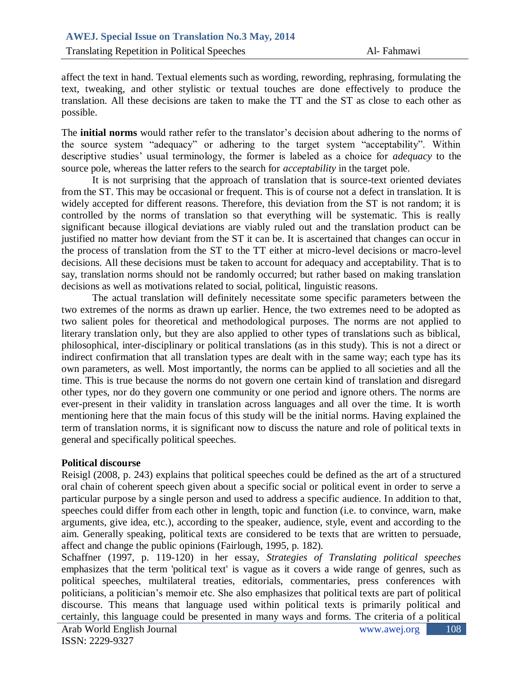affect the text in hand. Textual elements such as wording, rewording, rephrasing, formulating the text, tweaking, and other stylistic or textual touches are done effectively to produce the translation. All these decisions are taken to make the TT and the ST as close to each other as possible.

The **initial norms** would rather refer to the translator's decision about adhering to the norms of the source system "adequacy" or adhering to the target system "acceptability". Within descriptive studies' usual terminology, the former is labeled as a choice for *adequacy* to the source pole, whereas the latter refers to the search for *acceptability* in the target pole.

It is not surprising that the approach of translation that is source-text oriented deviates from the ST. This may be occasional or frequent. This is of course not a defect in translation. It is widely accepted for different reasons. Therefore, this deviation from the ST is not random; it is controlled by the norms of translation so that everything will be systematic. This is really significant because illogical deviations are viably ruled out and the translation product can be justified no matter how deviant from the ST it can be. It is ascertained that changes can occur in the process of translation from the ST to the TT either at micro-level decisions or macro-level decisions. All these decisions must be taken to account for adequacy and acceptability. That is to say, translation norms should not be randomly occurred; but rather based on making translation decisions as well as motivations related to social, political, linguistic reasons.

The actual translation will definitely necessitate some specific parameters between the two extremes of the norms as drawn up earlier. Hence, the two extremes need to be adopted as two salient poles for theoretical and methodological purposes. The norms are not applied to literary translation only, but they are also applied to other types of translations such as biblical, philosophical, inter-disciplinary or political translations (as in this study). This is not a direct or indirect confirmation that all translation types are dealt with in the same way; each type has its own parameters, as well. Most importantly, the norms can be applied to all societies and all the time. This is true because the norms do not govern one certain kind of translation and disregard other types, nor do they govern one community or one period and ignore others. The norms are ever-present in their validity in translation across languages and all over the time. It is worth mentioning here that the main focus of this study will be the initial norms. Having explained the term of translation norms, it is significant now to discuss the nature and role of political texts in general and specifically political speeches.

## **Political discourse**

Reisigl (2008, p. 243) explains that political speeches could be defined as the art of a structured oral chain of coherent speech given about a specific social or political event in order to serve a particular purpose by a single person and used to address a specific audience. In addition to that, speeches could differ from each other in length, topic and function (i.e. to convince, warn, make arguments, give idea, etc.), according to the speaker, audience, style, event and according to the aim. Generally speaking, political texts are considered to be texts that are written to persuade, affect and change the public opinions (Fairlough, 1995, p. 182).

Schaffner (1997, p. 119-120) in her essay, *Strategies of Translating political speeches* emphasizes that the term 'political text' is vague as it covers a wide range of genres, such as political speeches, multilateral treaties, editorials, commentaries, press conferences with politicians, a politician's memoir etc. She also emphasizes that political texts are part of political discourse. This means that language used within political texts is primarily political and certainly, this language could be presented in many ways and forms. The criteria of a political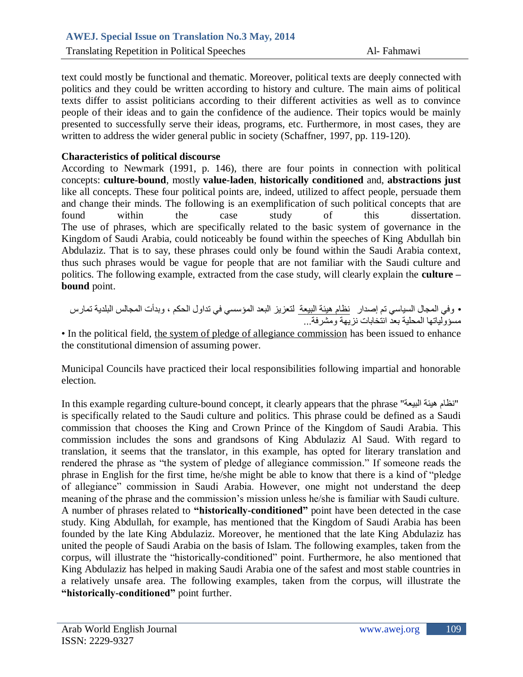text could mostly be functional and thematic. Moreover, political texts are deeply connected with politics and they could be written according to history and culture. The main aims of political texts differ to assist politicians according to their different activities as well as to convince people of their ideas and to gain the confidence of the audience. Their topics would be mainly presented to successfully serve their ideas, programs, etc. Furthermore, in most cases, they are written to address the wider general public in society (Schaffner, 1997, pp. 119-120).

# **Characteristics of political discourse**

According to Newmark (1991, p. 146), there are four points in connection with political concepts: **culture-bound**, mostly **value-laden**, **historically conditioned** and, **abstractions just**  like all concepts. These four political points are, indeed, utilized to affect people, persuade them and change their minds. The following is an exemplification of such political concepts that are found within the case study of this dissertation. The use of phrases, which are specifically related to the basic system of governance in the Kingdom of Saudi Arabia, could noticeably be found within the speeches of King Abdullah bin Abdulaziz. That is to say, these phrases could only be found within the Saudi Arabia context, thus such phrases would be vague for people that are not familiar with the Saudi culture and politics. The following example, extracted from the case study, will clearly explain the **culture – bound** point.

• ٗفٜ اىَجبه اىغٞبعٜ رٌ إصذاس ّظبً ٕٞئخ اىجٞؼخ ىزؼضٝض اىجؼذ اىَؤعغٜ فٜ رذاٗه اىحنٌ ، ٗثذأد اىَجبىظ اىجيذٝخ رَبسط ٍغؤٗىٞبرٖب اىَحيٞخ ثؼذ اّزخبثبد ّضٖٝخ ٍٗششفخ...

• In the political field, the system of pledge of allegiance commission has been issued to enhance the constitutional dimension of assuming power.

Municipal Councils have practiced their local responsibilities following impartial and honorable election.

In this example regarding culture-bound concept, it clearly appears that the phrase "نظام هيئة البيعة" is specifically related to the Saudi culture and politics. This phrase could be defined as a Saudi commission that chooses the King and Crown Prince of the Kingdom of Saudi Arabia. This commission includes the sons and grandsons of King Abdulaziz Al Saud. With regard to translation, it seems that the translator, in this example, has opted for literary translation and rendered the phrase as "the system of pledge of allegiance commission." If someone reads the phrase in English for the first time, he/she might be able to know that there is a kind of "pledge of allegiance" commission in Saudi Arabia. However, one might not understand the deep meaning of the phrase and the commission's mission unless he/she is familiar with Saudi culture. A number of phrases related to **"historically-conditioned"** point have been detected in the case study. King Abdullah, for example, has mentioned that the Kingdom of Saudi Arabia has been founded by the late King Abdulaziz. Moreover, he mentioned that the late King Abdulaziz has united the people of Saudi Arabia on the basis of Islam. The following examples, taken from the corpus, will illustrate the "historically-conditioned" point. Furthermore, he also mentioned that King Abdulaziz has helped in making Saudi Arabia one of the safest and most stable countries in a relatively unsafe area. The following examples, taken from the corpus, will illustrate the **"historically-conditioned"** point further.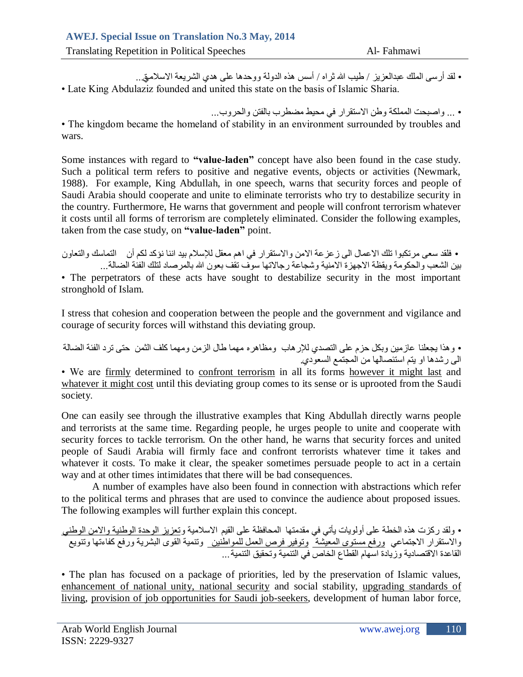Translating Repetition in Political Speeches Al- Fahmawi

• لقد أرسى الملك عبدالعزيز / طيب الله ثر اه / أسس هذه الدولة ووحدها على هدى الشريعة الاسلامتي.. • Late King Abdulaziz founded and united this state on the basis of Islamic Sharia.

• ... واصبحت المملكة وطن الاستقرار في محيط مضطرب بالفتن والحروب... • The kingdom became the homeland of stability in an environment surrounded by troubles and wars.

Some instances with regard to **"value-laden"** concept have also been found in the case study. Such a political term refers to positive and negative events, objects or activities (Newmark, 1988). For example, King Abdullah, in one speech, warns that security forces and people of Saudi Arabia should cooperate and unite to eliminate terrorists who try to destabilize security in the country. Furthermore, He warns that government and people will confront terrorism whatever it costs until all forms of terrorism are completely eliminated. Consider the following examples, taken from the case study, on **"value-laden"** point.

• فلقد سعى مرتكبوا تلك الاعمال الى زعزعة الامن والاستقرار في اهم معقل للإسلام بيد اننا نؤكد لكم أن التماسك والتعاون بين الشعب والحكومة ويقظة الاجهزة الامنية وشجاعة رجالاتها سوف تقف بعون الله بالمرصاد لتلك الفئة الضالة... • The perpetrators of these acts have sought to destabilize security in the most important stronghold of Islam.

I stress that cohesion and cooperation between the people and the government and vigilance and courage of security forces will withstand this deviating group.

• وهذا يجعلنا عازمين وبكل حزم على التصدي للإرهاب ومظاهره مهما طال الزمن ومهما كلف الثمن حتى ترد الفئة الضالة الى رشدها او يتم استئصالها من المجتمع السعودي

• We are firmly determined to confront terrorism in all its forms however it might last and whatever it might cost until this deviating group comes to its sense or is uprooted from the Saudi society.

One can easily see through the illustrative examples that King Abdullah directly warns people and terrorists at the same time. Regarding people, he urges people to unite and cooperate with security forces to tackle terrorism. On the other hand, he warns that security forces and united people of Saudi Arabia will firmly face and confront terrorists whatever time it takes and whatever it costs. To make it clear, the speaker sometimes persuade people to act in a certain way and at other times intimidates that there will be bad consequences.

A number of examples have also been found in connection with abstractions which refer to the political terms and phrases that are used to convince the audience about proposed issues. The following examples will further explain this concept.

```
• ولقد ركزت هذه الخطة على أولويات يأتي في مقدمتها  المحافظة على القيم الاسلامية وتعزيز الوحدة الوطنية والامن الوطني
والاستقرار الاجتماعي ورفع مستوى المعيشة_وتوفير فرص العمل للمواطنين_ وتنمية القوى البشرية ورفع كفاءتها وتنويع
                                             القاعدة الاقتصادية وزيادة اسهام القطاع الخاص في التنمية وتحقيق التنمية ...
```
• The plan has focused on a package of priorities, led by the preservation of Islamic values, enhancement of national unity, national security and social stability, upgrading standards of living, provision of job opportunities for Saudi job-seekers, development of human labor force,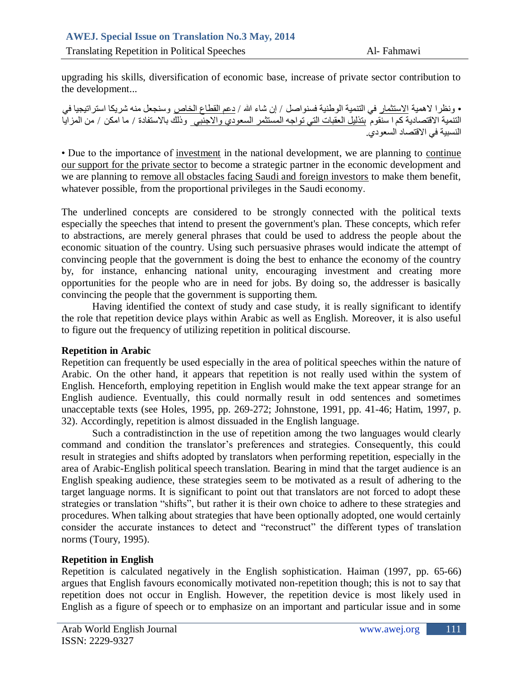upgrading his skills, diversification of economic base, increase of private sector contribution to the development...

• ونظرا لاهمية ا<u>لاستثمار</u> في التنمية الوطنية فسنواصل / إن شاء الله / دعم القطاع الخاص وسنجعل منه شريكا استراتيجيا في التَّنْميةُ الاقتصادية <u>كم ا ستقوم</u> بتذليل العقبات التي تواجه المُستثمر السعودي والاجنبي وذلك بالاستفادة / ما امكن / من المزايا النسبية في الاقتصاد السعودي.

• Due to the importance of investment in the national development, we are planning to continue our support for the private sector to become a strategic partner in the economic development and we are planning to remove all obstacles facing Saudi and foreign investors to make them benefit, whatever possible, from the proportional privileges in the Saudi economy.

The underlined concepts are considered to be strongly connected with the political texts especially the speeches that intend to present the government's plan. These concepts, which refer to abstractions, are merely general phrases that could be used to address the people about the economic situation of the country. Using such persuasive phrases would indicate the attempt of convincing people that the government is doing the best to enhance the economy of the country by, for instance, enhancing national unity, encouraging investment and creating more opportunities for the people who are in need for jobs. By doing so, the addresser is basically convincing the people that the government is supporting them.

Having identified the context of study and case study, it is really significant to identify the role that repetition device plays within Arabic as well as English. Moreover, it is also useful to figure out the frequency of utilizing repetition in political discourse.

## **Repetition in Arabic**

Repetition can frequently be used especially in the area of political speeches within the nature of Arabic. On the other hand, it appears that repetition is not really used within the system of English. Henceforth, employing repetition in English would make the text appear strange for an English audience. Eventually, this could normally result in odd sentences and sometimes unacceptable texts (see Holes, 1995, pp. 269-272; Johnstone, 1991, pp. 41-46; Hatim, 1997, p. 32). Accordingly, repetition is almost dissuaded in the English language.

Such a contradistinction in the use of repetition among the two languages would clearly command and condition the translator's preferences and strategies. Consequently, this could result in strategies and shifts adopted by translators when performing repetition, especially in the area of Arabic-English political speech translation. Bearing in mind that the target audience is an English speaking audience, these strategies seem to be motivated as a result of adhering to the target language norms. It is significant to point out that translators are not forced to adopt these strategies or translation "shifts", but rather it is their own choice to adhere to these strategies and procedures. When talking about strategies that have been optionally adopted, one would certainly consider the accurate instances to detect and "reconstruct" the different types of translation norms (Toury, 1995).

## **Repetition in English**

Repetition is calculated negatively in the English sophistication. Haiman (1997, pp. 65-66) argues that English favours economically motivated non-repetition though; this is not to say that repetition does not occur in English. However, the repetition device is most likely used in English as a figure of speech or to emphasize on an important and particular issue and in some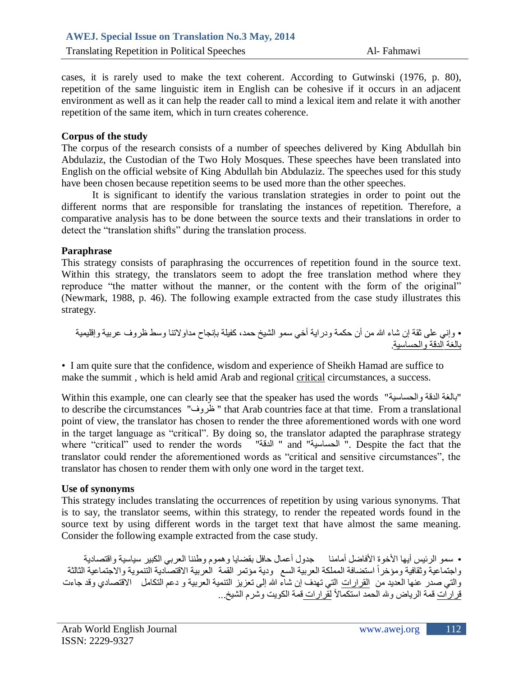cases, it is rarely used to make the text coherent. According to Gutwinski (1976, p. 80), repetition of the same linguistic item in English can be cohesive if it occurs in an adjacent environment as well as it can help the reader call to mind a lexical item and relate it with another repetition of the same item, which in turn creates coherence.

# **Corpus of the study**

The corpus of the research consists of a number of speeches delivered by King Abdullah bin Abdulaziz, the Custodian of the Two Holy Mosques. These speeches have been translated into English on the official website of King Abdullah bin Abdulaziz. The speeches used for this study have been chosen because repetition seems to be used more than the other speeches.

It is significant to identify the various translation strategies in order to point out the different norms that are responsible for translating the instances of repetition. Therefore, a comparative analysis has to be done between the source texts and their translations in order to detect the "translation shifts" during the translation process.

#### **Paraphrase**

This strategy consists of paraphrasing the occurrences of repetition found in the source text. Within this strategy, the translators seem to adopt the free translation method where they reproduce "the matter without the manner, or the content with the form of the original" (Newmark, 1988, p. 46). The following example extracted from the case study illustrates this strategy.

• ٗإّٜ ػيٚ ثقخ إُ شبء هللا ٍِ أُ حنَخ ٗدساٝخ أخٜ عَ٘ اىشٞخ حَذ، مفٞيخ ثئّجبح ٍذاٗالرْب ٗعظ ظشٗف ػشثٞخ ٗإقيَٞٞخ ثبىغخ اىذقخ ٗاىحغبعٞخ.

• I am quite sure that the confidence, wisdom and experience of Sheikh Hamad are suffice to make the summit , which is held amid Arab and regional critical circumstances, a success.

Within this example, one can clearly see that the speaker has used the words "بالغة الدقة والحساسية" to describe the circumstances "ظروف" that Arab countries face at that time. From a translational point of view, the translator has chosen to render the three aforementioned words with one word in the target language as "critical". By doing so, the translator adapted the paraphrase strategy where "critical" used to render the words " المدفة" " and "خليسية" . Despite the fact that the translator could render the aforementioned words as "critical and sensitive circumstances", the translator has chosen to render them with only one word in the target text.

#### **Use of synonyms**

This strategy includes translating the occurrences of repetition by using various synonyms. That is to say, the translator seems, within this strategy, to render the repeated words found in the source text by using different words in the target text that have almost the same meaning. Consider the following example extracted from the case study.

• سمو الرئيس أبها الأخوة الأفاضل أمامنا ﴿ جدول أعمال حافل بقضايا وهموم وطننا العربي الكبير سياسية واقتصادية واجتماعية وثقافية ومؤخراً استضافة المملكة العربية السع ٍ ودية مؤتمر القمة ۖ العربية الاقتصادية التتموية والاجتماعية الثالثة والتي صدر عنها العديد من القرارات التي تهدف إن شاء الله إلى تعزيز التنمية العربية و دعم التكامل الاقتصادي وقد جاءت قَر اربَّات قمة الرياض وبله الحمد استكمالاً لقَر اربات قَمَّة الكويت وشرم الشيخ...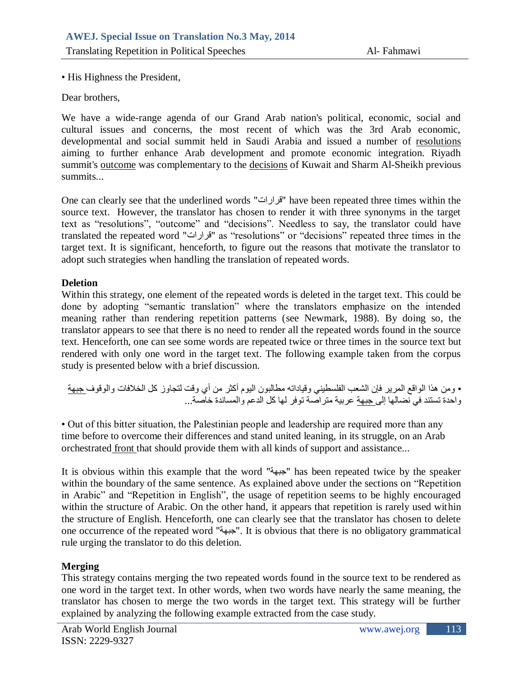• His Highness the President,

Dear brothers,

We have a wide-range agenda of our Grand Arab nation's political, economic, social and cultural issues and concerns, the most recent of which was the 3rd Arab economic, developmental and social summit held in Saudi Arabia and issued a number of resolutions aiming to further enhance Arab development and promote economic integration. Riyadh summit's outcome was complementary to the decisions of Kuwait and Sharm Al-Sheikh previous summits...

One can clearly see that the underlined words "قرارات" have been repeated three times within the source text. However, the translator has chosen to render it with three synonyms in the target text as "resolutions", "outcome" and "decisions". Needless to say, the translator could have translated the repeated word "قشاساد "as "resolutions" or "decisions" repeated three times in the target text. It is significant, henceforth, to figure out the reasons that motivate the translator to adopt such strategies when handling the translation of repeated words.

## **Deletion**

Within this strategy, one element of the repeated words is deleted in the target text. This could be done by adopting "semantic translation" where the translators emphasize on the intended meaning rather than rendering repetition patterns (see Newmark, 1988). By doing so, the translator appears to see that there is no need to render all the repeated words found in the source text. Henceforth, one can see some words are repeated twice or three times in the source text but rendered with only one word in the target text. The following example taken from the corpus study is presented below with a brief discussion.

• ومن هذا الواقع المرير فإن الشعب الفلسطيني وقياداته مطالبون اليوم أكثر من أي وقت لتجاوز كل الخلافات والوقوف <u>جبهة</u> واحدة تستند في نُضبالها إلى جبهة عربية متر اصنة توفر لها كل الدعم والمساندة خاصة...

• Out of this bitter situation, the Palestinian people and leadership are required more than any time before to overcome their differences and stand united leaning, in its struggle, on an Arab orchestrated front that should provide them with all kinds of support and assistance...

It is obvious within this example that the word "خٖجج "has been repeated twice by the speaker within the boundary of the same sentence. As explained above under the sections on "Repetition in Arabic" and "Repetition in English", the usage of repetition seems to be highly encouraged within the structure of Arabic. On the other hand, it appears that repetition is rarely used within the structure of English. Henceforth, one can clearly see that the translator has chosen to delete one occurrence of the repeated word "خٖجج". It is obvious that there is no obligatory grammatical rule urging the translator to do this deletion.

# **Merging**

This strategy contains merging the two repeated words found in the source text to be rendered as one word in the target text. In other words, when two words have nearly the same meaning, the translator has chosen to merge the two words in the target text. This strategy will be further explained by analyzing the following example extracted from the case study.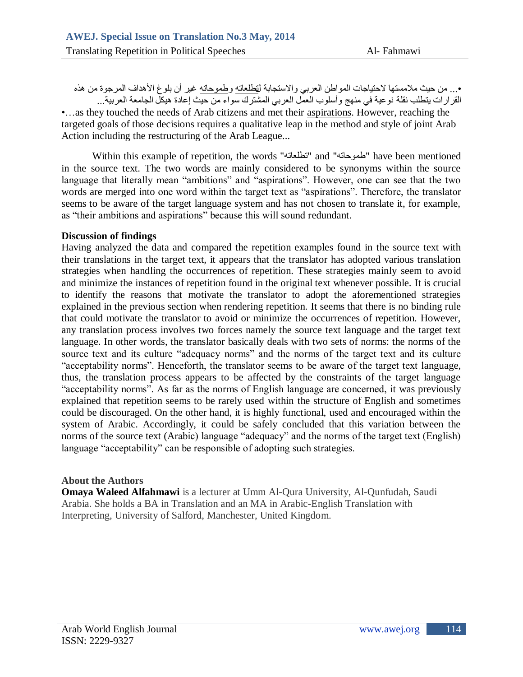•... من حيث ملامستها لاحتياجات المواطن العربي والاستجابة ل<u>تطلعاته وطموحاته</u> غير أن بلوغ الأهداف المرجوة من هذه القرار ات يتطلب نقلة نوعية في منهج وأسلوب العمل العربي المشترك سواء من حيث إعادة هيكل الجامعة العربية...

•…as they touched the needs of Arab citizens and met their aspirations. However, reaching the targeted goals of those decisions requires a qualitative leap in the method and style of joint Arab Action including the restructuring of the Arab League...

Within this example of repetition, the words "نطلعاته" and "نطلعاته" have been mentioned in the source text. The two words are mainly considered to be synonyms within the source language that literally mean "ambitions" and "aspirations". However, one can see that the two words are merged into one word within the target text as "aspirations". Therefore, the translator seems to be aware of the target language system and has not chosen to translate it, for example, as "their ambitions and aspirations" because this will sound redundant.

#### **Discussion of findings**

Having analyzed the data and compared the repetition examples found in the source text with their translations in the target text, it appears that the translator has adopted various translation strategies when handling the occurrences of repetition. These strategies mainly seem to avoid and minimize the instances of repetition found in the original text whenever possible. It is crucial to identify the reasons that motivate the translator to adopt the aforementioned strategies explained in the previous section when rendering repetition. It seems that there is no binding rule that could motivate the translator to avoid or minimize the occurrences of repetition. However, any translation process involves two forces namely the source text language and the target text language. In other words, the translator basically deals with two sets of norms: the norms of the source text and its culture "adequacy norms" and the norms of the target text and its culture "acceptability norms". Henceforth, the translator seems to be aware of the target text language, thus, the translation process appears to be affected by the constraints of the target language "acceptability norms". As far as the norms of English language are concerned, it was previously explained that repetition seems to be rarely used within the structure of English and sometimes could be discouraged. On the other hand, it is highly functional, used and encouraged within the system of Arabic. Accordingly, it could be safely concluded that this variation between the norms of the source text (Arabic) language "adequacy" and the norms of the target text (English) language "acceptability" can be responsible of adopting such strategies.

## **About the Authors**

**Omaya Waleed Alfahmawi** is a lecturer at Umm Al-Qura University, Al-Qunfudah, Saudi Arabia. She holds a BA in Translation and an MA in Arabic-English Translation with Interpreting, University of Salford, Manchester, United Kingdom.